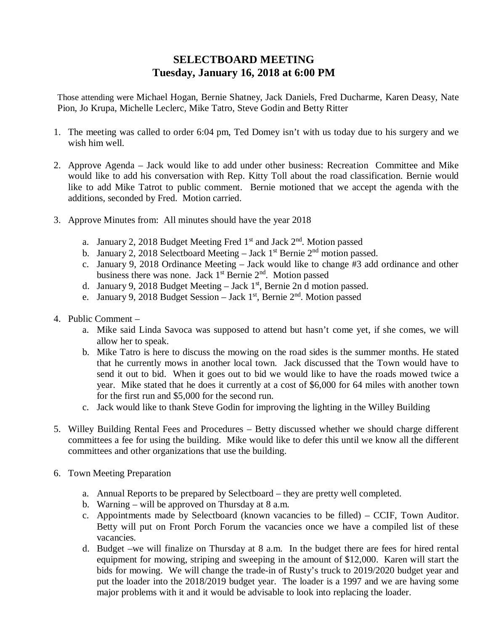## **SELECTBOARD MEETING Tuesday, January 16, 2018 at 6:00 PM**

Those attending were Michael Hogan, Bernie Shatney, Jack Daniels, Fred Ducharme, Karen Deasy, Nate Pion, Jo Krupa, Michelle Leclerc, Mike Tatro, Steve Godin and Betty Ritter

- 1. The meeting was called to order 6:04 pm, Ted Domey isn't with us today due to his surgery and we wish him well.
- 2. Approve Agenda Jack would like to add under other business: Recreation Committee and Mike would like to add his conversation with Rep. Kitty Toll about the road classification. Bernie would like to add Mike Tatrot to public comment. Bernie motioned that we accept the agenda with the additions, seconded by Fred. Motion carried.
- 3. Approve Minutes from: All minutes should have the year 2018
	- a. January 2, 2018 Budget Meeting Fred  $1<sup>st</sup>$  and Jack  $2<sup>nd</sup>$ . Motion passed
	- b. January 2, 2018 Selectboard Meeting Jack 1st Bernie  $2<sup>nd</sup>$  motion passed.
	- c. January 9, 2018 Ordinance Meeting Jack would like to change #3 add ordinance and other business there was none. Jack 1<sup>st</sup> Bernie 2<sup>nd</sup>. Motion passed
	- d. January 9, 2018 Budget Meeting Jack 1st, Bernie 2n d motion passed.
	- e. January 9, 2018 Budget Session Jack 1st, Bernie 2nd. Motion passed
- 4. Public Comment
	- a. Mike said Linda Savoca was supposed to attend but hasn't come yet, if she comes, we will allow her to speak.
	- b. Mike Tatro is here to discuss the mowing on the road sides is the summer months. He stated that he currently mows in another local town. Jack discussed that the Town would have to send it out to bid. When it goes out to bid we would like to have the roads mowed twice a year. Mike stated that he does it currently at a cost of \$6,000 for 64 miles with another town for the first run and \$5,000 for the second run.
	- c. Jack would like to thank Steve Godin for improving the lighting in the Willey Building
- 5. Willey Building Rental Fees and Procedures Betty discussed whether we should charge different committees a fee for using the building. Mike would like to defer this until we know all the different committees and other organizations that use the building.
- 6. Town Meeting Preparation
	- a. Annual Reports to be prepared by Selectboard they are pretty well completed.
	- b. Warning will be approved on Thursday at 8 a.m.
	- c. Appointments made by Selectboard (known vacancies to be filled) CCIF, Town Auditor. Betty will put on Front Porch Forum the vacancies once we have a compiled list of these vacancies.
	- d. Budget –we will finalize on Thursday at 8 a.m. In the budget there are fees for hired rental equipment for mowing, striping and sweeping in the amount of \$12,000. Karen will start the bids for mowing. We will change the trade-in of Rusty's truck to 2019/2020 budget year and put the loader into the 2018/2019 budget year. The loader is a 1997 and we are having some major problems with it and it would be advisable to look into replacing the loader.